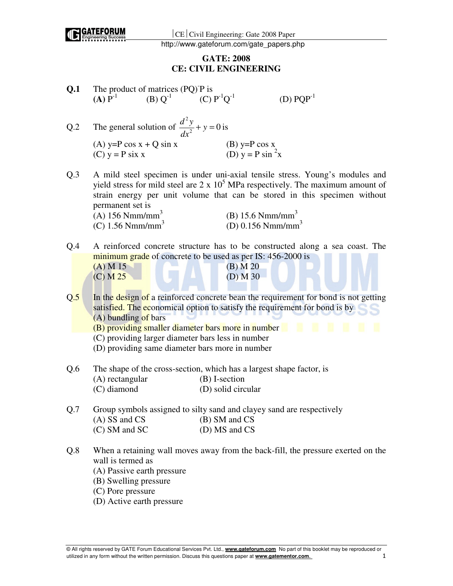

# **GATE: 2008 CE: CIVIL ENGINEERING**

| Q.1 | The product of matrices (PQ) P is<br>$(A) P^{-1}$                                                                                                                                  | (B) $Q^{-1}$ (C) $P^{-1}Q^{-1}$ |                                               |                          | $(D)$ $PQP^{-1}$                                                                                                                                                                                                                                     |  |
|-----|------------------------------------------------------------------------------------------------------------------------------------------------------------------------------------|---------------------------------|-----------------------------------------------|--------------------------|------------------------------------------------------------------------------------------------------------------------------------------------------------------------------------------------------------------------------------------------------|--|
| Q.2 | The general solution of $\frac{d^2y}{dx^2} + y = 0$ is                                                                                                                             |                                 |                                               |                          |                                                                                                                                                                                                                                                      |  |
|     | (A) y=P cos $x + Q \sin x$<br>$(C)$ y = P six x                                                                                                                                    |                                 | (B) y=P cos x<br>(D) y = P sin <sup>2</sup> x |                          |                                                                                                                                                                                                                                                      |  |
| Q.3 | permanent set is                                                                                                                                                                   |                                 |                                               |                          | A mild steel specimen is under uni-axial tensile stress. Young's modules and<br>yield stress for mild steel are $2 \times 10^5$ MPa respectively. The maximum amount of<br>strain energy per unit volume that can be stored in this specimen without |  |
|     | $(A)$ 156 Nmm/mm <sup>3</sup>                                                                                                                                                      |                                 |                                               | (B) 15.6 $Nmm/mm3$       |                                                                                                                                                                                                                                                      |  |
|     | (C) $1.56$ Nmm/mm <sup>3</sup>                                                                                                                                                     |                                 |                                               |                          | (D) $0.156$ Nmm/mm <sup>3</sup>                                                                                                                                                                                                                      |  |
| Q.4 | minimum grade of concrete to be used as per IS: 456-2000 is<br>$(A)$ M 15<br>$(C)$ M $25$                                                                                          |                                 |                                               | $(B)$ M 20<br>$(D)$ M 30 | A reinforced concrete structure has to be constructed along a sea coast. The                                                                                                                                                                         |  |
| Q.5 | (A) bundling of bars<br>(B) providing smaller diameter bars more in number<br>(C) providing larger diameter bars less in number<br>(D) providing same diameter bars more in number |                                 |                                               |                          | In the design of a reinforced concrete bean the requirement for bond is not getting<br>satisfied. The economical option to satisfy the requirement for bond is by<br>- 10                                                                            |  |
| Q.6 | (A) rectangular<br>$(C)$ diamond                                                                                                                                                   |                                 | (B) I-section<br>(D) solid circular           |                          | The shape of the cross-section, which has a largest shape factor, is                                                                                                                                                                                 |  |
| Q.7 | (A) SS and CS<br>$(C)$ SM and SC                                                                                                                                                   |                                 | (B) SM and CS<br>(D) MS and CS                |                          | Group symbols assigned to silty sand and clayey sand are respectively                                                                                                                                                                                |  |
| Q.8 | wall is termed as<br>(A) Passive earth pressure<br>(B) Swelling pressure<br>(C) Pore pressure                                                                                      |                                 |                                               |                          | When a retaining wall moves away from the back-fill, the pressure exerted on the                                                                                                                                                                     |  |

(D) Active earth pressure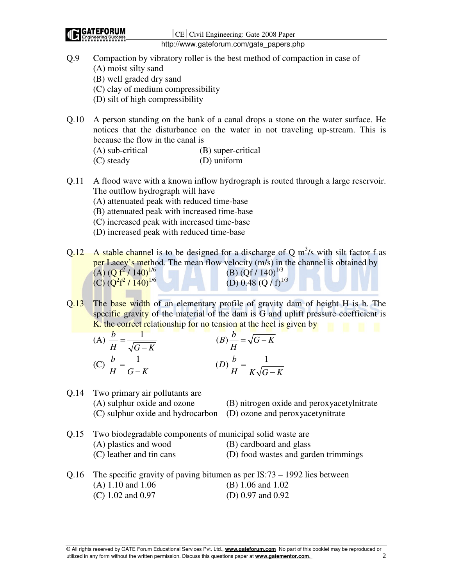- Q.9 Compaction by vibratory roller is the best method of compaction in case of (A) moist silty sand (B) well graded dry sand (C) clay of medium compressibility
	- (D) silt of high compressibility
- Q.10 A person standing on the bank of a canal drops a stone on the water surface. He notices that the disturbance on the water in not traveling up-stream. This is because the flow in the canal is

| (A) sub-critical | (B) super-critical |
|------------------|--------------------|
| (C) steady       | (D) uniform        |

- Q.11 A flood wave with a known inflow hydrograph is routed through a large reservoir. The outflow hydrograph will have
	- (A) attenuated peak with reduced time-base
	- (B) attenuated peak with increased time-base
	- (C) increased peak with increased time-base
	- (D) increased peak with reduced time-base
- Q.12 A stable channel is to be designed for a discharge of Q  $m^3/s$  with silt factor f as per Lacey's method. The mean flow velocity (m/s) in the channel is obtained by  $(A)$   $(Q f^2 / 140)^{1/6}$ (B)  $(Qf / 140)^{1/3}$  $(C)$   $(Q^2f^2)$ (D) 0.48 (Q /  $f$ )<sup>1/3</sup>
- Q.13 The base width of an elementary profile of gravity dam of height H is b. The specific gravity of the material of the dam is G and uplift pressure coefficient is K, the correct relationship for no tension at the heel is given by

(A) 
$$
\frac{b}{H} = \frac{1}{\sqrt{G - K}}
$$
  
\n(B) 
$$
\frac{b}{H} = \sqrt{G - K}
$$
  
\n(C) 
$$
\frac{b}{H} = \frac{1}{G - K}
$$
  
\n(D) 
$$
\frac{b}{H} = \frac{1}{K\sqrt{G - K}}
$$

Q.14 Two primary air pollutants are (A) sulphur oxide and ozone (B) nitrogen oxide and peroxyacetylnitrate (C) sulphur oxide and hydrocarbon (D) ozone and peroxyacetynitrate

- Q.15 Two biodegradable components of municipal solid waste are (A) plastics and wood (B) cardboard and glass (C) leather and tin cans (D) food wastes and garden trimmings
- Q.16 The specific gravity of paving bitumen as per IS:73 1992 lies between (A) 1.10 and 1.06 (B) 1.06 and 1.02 (C) 1.02 and 0.97 (D) 0.97 and 0.92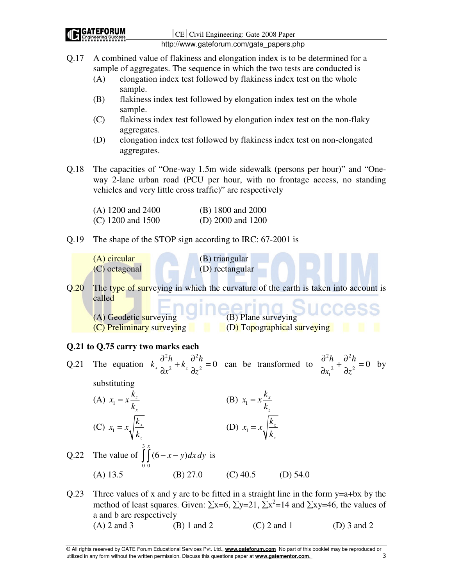Q.17 A combined value of flakiness and elongation index is to be determined for a sample of aggregates. The sequence in which the two tests are conducted is

- (A) elongation index test followed by flakiness index test on the whole sample.
- (B) flakiness index test followed by elongation index test on the whole sample.
- (C) flakiness index test followed by elongation index test on the non-flaky aggregates.
- (D) elongation index test followed by flakiness index test on non-elongated aggregates.
- Q.18 The capacities of "One-way 1.5m wide sidewalk (persons per hour)" and "Oneway 2-lane urban road (PCU per hour, with no frontage access, no standing vehicles and very little cross traffic)" are respectively

| $(A)$ 1200 and 2400 | (B) 1800 and 2000     |
|---------------------|-----------------------|
| $(C)$ 1200 and 1500 | (D) $2000$ and $1200$ |

Q.19 The shape of the STOP sign according to IRC: 67-2001 is

(A) circular (B) triangular (C) octagonal (D) rectangular Q.20 The type of surveying in which the curvature of the earth is taken into account is called  $(A)$  Geodetic surveying (C) Preliminary surveying (D) Topographical surveying **Q.21 to Q.75 carry two marks each**  Q.21 The equation  $2h$   $\lambda^2$  $k_x \frac{\partial^2 h}{\partial x^2} + k_z \frac{\partial^2 h}{\partial z^2} = 0$  $x^2$   $\bar{z}$   $\partial z$  $\frac{\partial^2 h}{\partial x^2} + k \frac{\partial^2 h}{\partial y^2} =$  $\partial x^2$   $\frac{d}{dx}$   $\frac{d}{dx}$  can be transformed to  $2h$   $\lambda^2$  $\frac{h}{2} + \frac{\partial^2 h}{\partial z^2} = 0$ 1  $x_1^2$   $\partial z$  $\frac{\partial^2 h}{\partial x^2} + \frac{\partial^2 h}{\partial y^2} =$  $\partial x_1^2$   $\partial$  by substituting (A)  $x_1 = x \frac{k_z}{l_x}$ *x*  $x_1 = x - \frac{k}{x}$ *k*  $= x \frac{\kappa_z}{l}$  (B)  $x_1 = x \frac{\kappa_x}{l}$ *z*  $x_1 = x - \frac{k}{x}$ *k*  $=x\frac{\kappa_x}{1}$ (C)  $x_1 = x_1 \frac{k_x}{k_x}$ *z*  $= x \sqrt{\frac{\lambda_x}{k_x}}$  (D)  $x_1$ *z x*  $x_1 = x_2 \left| \frac{k}{l} \right|$ *k* = Q.22 The value of 3 0 0  $(6 - x - y)$  $\int_{0}^{3} (6-x-y) dx dy$  is (A) 13.5 (B) 27.0 (C) 40.5 (D) 54.0 Q.23 Three values of x and y are to be fitted in a straight line in the form  $y=a+bx$  by the

method of least squares. Given:  $\Sigma x=6$ ,  $\Sigma y=21$ ,  $\Sigma x^2=14$  and  $\Sigma xy=46$ , the values of a and b are respectively (A) 2 and 3 (B) 1 and 2 (C) 2 and 1 (D) 3 and 2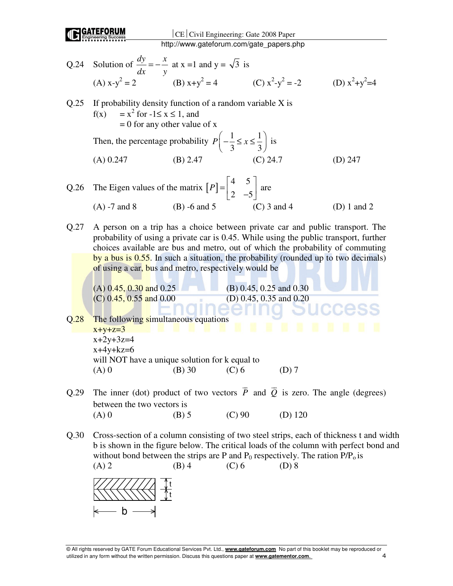

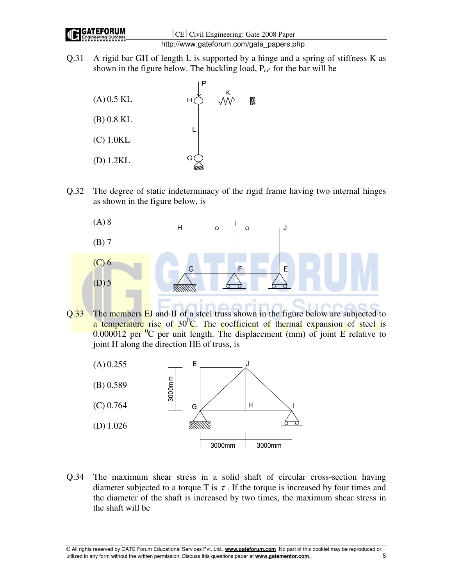Q.31 A rigid bar GH of length L is supported by a hinge and a spring of stiffness K as shown in the figure below. The buckling load,  $P_{cr}$  for the bar will be



Q.32 The degree of static indeterminacy of the rigid frame having two internal hinges as shown in the figure below, is



Q.33 The members EJ and IJ of a steel truss shown in the figure below are subjected to a temperature rise of  $30^0C$ . The coefficient of thermal expansion of steel is  $0.000012$  per <sup>0</sup>C per unit length. The displacement (mm) of joint E relative to joint H along the direction HE of truss, is



Q.34 The maximum shear stress in a solid shaft of circular cross-section having diameter subjected to a torque T is  $\tau$ . If the torque is increased by four times and the diameter of the shaft is increased by two times, the maximum shear stress in the shaft will be

© All rights reserved by GATE Forum Educational Services Pvt. Ltd., **www.gateforum.com** No part of this booklet may be reproduced or utilized in any form without the written permission. Discuss this questions paper at **www.gatementor.com**. 5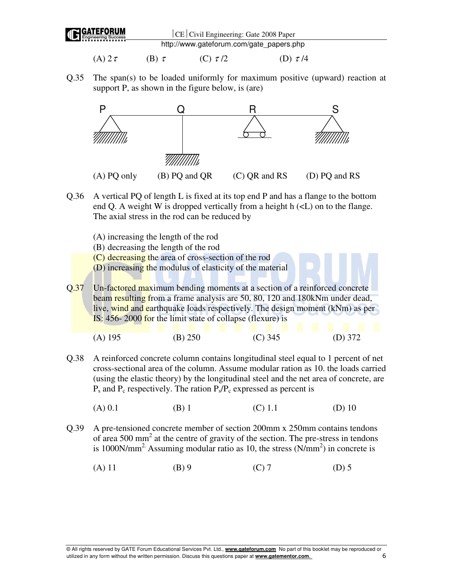

- (A)  $2\tau$  (B)  $\tau$  (C)  $\tau/2$  (D)  $\tau/4$
- Q.35 The span(s) to be loaded uniformly for maximum positive (upward) reaction at support P, as shown in the figure below, is (are)



- Q.36 A vertical PQ of length L is fixed at its top end P and has a flange to the bottom end Q. A weight W is dropped vertically from a height  $h \ll L$ ) on to the flange. The axial stress in the rod can be reduced by
	- (A) increasing the length of the rod
	- (B) decreasing the length of the rod
	- (C) decreasing the area of cross-section of the rod
	- (D) increasing the modulus of elasticity of the material

Q.37 Un-factored maximum bending moments at a section of a reinforced concrete beam resulting from a frame analysis are 50, 80, 120 and 180kNm under dead, live, wind and earthquake loads respectively. The design moment (kNm) as per IS: 456- 2000 for the limit state of collapse (flexure) is

| $(A)$ 195 | (B) 250 | $(C)$ 345 | (D) $372$ |
|-----------|---------|-----------|-----------|

- Q.38 A reinforced concrete column contains longitudinal steel equal to 1 percent of net cross-sectional area of the column. Assume modular ration as 10. the loads carried (using the elastic theory) by the longitudinal steel and the net area of concrete, are  $P_s$  and  $P_c$  respectively. The ration  $P_s/P_c$  expressed as percent is
	- (A) 0.1 (B) 1 (C) 1.1 (D) 10
- Q.39 A pre-tensioned concrete member of section 200mm x 250mm contains tendons of area 500 mm<sup>2</sup> at the centre of gravity of the section. The pre-stress in tendons is 1000N/mm<sup>2</sup>. Assuming modular ratio as 10, the stress  $(N/mm<sup>2</sup>)$  in concrete is
	- (A) 11 (B) 9 (C) 7 (D) 5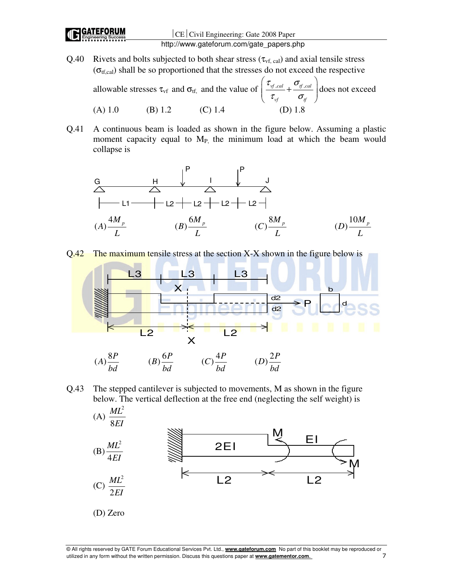Q.40 Rivets and bolts subjected to both shear stress  $(\tau_{vf, cal})$  and axial tensile stress  $(\sigma_{\text{tf,cal}})$  shall be so proportioned that the stresses do not exceed the respective

allowable stresses  $\tau_{vf}$  and  $\sigma_{tf}$ , and the value of  $\frac{\nu_{vf,cal}}{\nu_{f,cal}} + \frac{\nu_{tf,cal}}{\nu_{f,cal}}$  $\mathbf{v}$ <sub>tf</sub>  $\mathbf{v}$ <sub>tf</sub>  $\tau_{\rm ref, cal}$   $\sigma_{\rm g}$  $\tau_{\rm ref}$   $\sigma_{\rm g}$  $\left(\frac{\tau_{\textit{vf},\textit{cal}}}{\tau_{\textit{tf},\textit{cal}}}+ \frac{\sigma_{\textit{tf},\textit{cal}}}{\tau_{\textit{f}}}\right)$  $\left( \begin{array}{cc} \tau_{\rm\scriptscriptstyle vf} \end{array} \right)$ does not exceed (A) 1.0 (B) 1.2 (C) 1.4

Q.41 A continuous beam is loaded as shown in the figure below. Assuming a plastic moment capacity equal to  $M_{P_1}$  the minimum load at which the beam would collapse is



Q.42 The maximum tensile stress at the section X-X shown in the figure below is



Q.43 The stepped cantilever is subjected to movements, M as shown in the figure below. The vertical deflection at the free end (neglecting the self weight) is



<sup>©</sup> All rights reserved by GATE Forum Educational Services Pvt. Ltd., **www.gateforum.com** No part of this booklet may be reproduced or utilized in any form without the written permission. Discuss this questions paper at **www.gatementor.com**. 7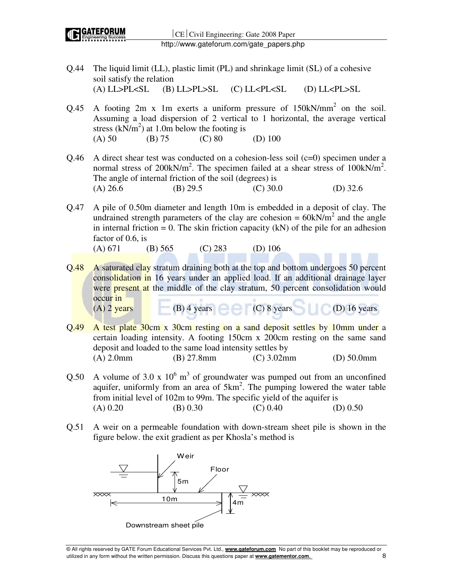

 $|CE|$  Civil Engineering: Gate 2008 Paper http://www.gateforum.com/gate\_papers.php

- Q.44 The liquid limit (LL), plastic limit (PL) and shrinkage limit (SL) of a cohesive soil satisfy the relation (A) LL>PL<SL (B) LL>PL>SL (C) LL<PL<SL (D) LL<PL>SL
- Q.45 A footing  $2m \times 1m$  exerts a uniform pressure of  $150kN/mm^2$  on the soil. Assuming a load dispersion of 2 vertical to 1 horizontal, the average vertical stress  $(kN/m<sup>2</sup>)$  at 1.0m below the footing is (A) 50 (B) 75 (C) 80 (D) 100
- Q.46 A direct shear test was conducted on a cohesion-less soil  $(c=0)$  specimen under a normal stress of 200kN/m<sup>2</sup>. The specimen failed at a shear stress of 100kN/m<sup>2</sup>. The angle of internal friction of the soil (degrees) is (A)  $26.6$  (B)  $29.5$  (C)  $30.0$  (D)  $32.6$
- Q.47 A pile of 0.50m diameter and length 10m is embedded in a deposit of clay. The undrained strength parameters of the clay are cohesion =  $60kN/m<sup>2</sup>$  and the angle in internal friction = 0. The skin friction capacity  $(kN)$  of the pile for an adhesion factor of 0.6, is

(A) 671 (B) 565 (C) 283 (D) 106

- Q.48 A saturated clay stratum draining both at the top and bottom undergoes 50 percent consolidation in 16 years under an applied load. If an additional drainage layer were **present at** the middle of the clay stratum, 50 percent consolidation would occur in  $(A)$  2 years (B) 4 years (C) 8 years (D) 16 years
- Q.49 A test plate 30cm x 30cm resting on a sand deposit settles by 10mm under a certain loading intensity. A footing 150cm x 200cm resting on the same sand deposit and loaded to the same load intensity settles by (A) 2.0mm (B) 27.8mm (C) 3.02mm (D) 50.0mm
- Q.50 A volume of 3.0 x  $10^6$  m<sup>3</sup> of groundwater was pumped out from an unconfined aquifer, uniformly from an area of  $5km^2$ . The pumping lowered the water table from initial level of 102m to 99m. The specific yield of the aquifer is (A) 0.20 (B) 0.30 (C) 0.40 (D) 0.50
- Q.51 A weir on a permeable foundation with down-stream sheet pile is shown in the figure below. the exit gradient as per Khosla's method is

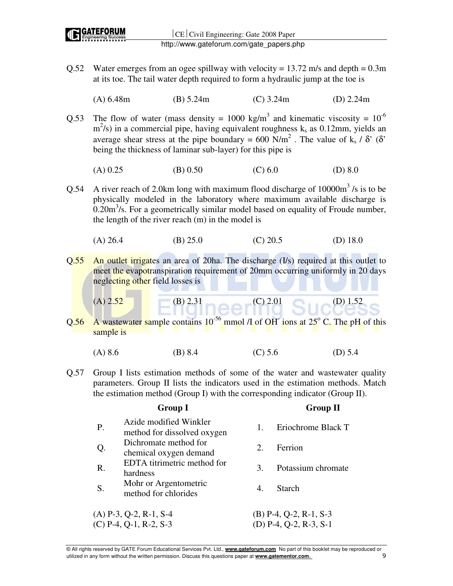- Q.52 Water emerges from an ogee spillway with velocity =  $13.72$  m/s and depth =  $0.3$ m at its toe. The tail water depth required to form a hydraulic jump at the toe is
	- (A) 6.48m (B) 5.24m (C) 3.24m (D) 2.24m
- Q.53 The flow of water (mass density = 1000 kg/m<sup>3</sup> and kinematic viscosity =  $10^{-6}$  $m<sup>2</sup>/s$ ) in a commercial pipe, having equivalent roughness k<sub>s</sub> as 0.12mm, yields an average shear stress at the pipe boundary = 600 N/m<sup>2</sup>. The value of k<sub>s</sub> /  $\delta'$  ( $\delta'$ ) being the thickness of laminar sub-layer) for this pipe is
	- (A)  $0.25$  (B)  $0.50$  (C)  $6.0$  (D) 8.0
- Q.54 A river reach of 2.0km long with maximum flood discharge of  $10000m^3$  /s is to be physically modeled in the laboratory where maximum available discharge is  $0.20 \text{m}^3$ /s. For a geometrically similar model based on equality of Froude number, the length of the river reach (m) in the model is
	- (A) 26.4 (B) 25.0 (C) 20.5 (D) 18.0
- Q.55 An outlet irrigates an area of 20ha. The discharge (I/s) required at this outlet to meet the evapotranspiration requirement of 20mm occurring uniformly in 20 days neglecting other field losses is

(A) 2.52 (B) 2.31 (C) 2.01 (D) 1.52

- Q.56 A wastewater sample contains  $10^{-56}$  mmol  $\Lambda$  of OH ions at  $25^{\circ}$  C. The pH of this sample is
	- (A) 8.6 (B) 8.4 (C) 5.6 (D) 5.4
- Q.57 Group I lists estimation methods of some of the water and wastewater quality parameters. Group II lists the indicators used in the estimation methods. Match the estimation method (Group I) with the corresponding indicator (Group II).

|    | <b>Group I</b>                                        |    | <b>Group II</b>          |
|----|-------------------------------------------------------|----|--------------------------|
| P. | Azide modified Winkler<br>method for dissolved oxygen | 1. | Eriochrome Black T       |
| Q. | Dichromate method for<br>chemical oxygen demand       | 2. | Ferrion                  |
| R. | EDTA titrimetric method for<br>hardness               | 3. | Potassium chromate       |
| S. | Mohr or Argentometric<br>method for chlorides         | 4. | <b>Starch</b>            |
|    | $(A)$ P-3, Q-2, R-1, S-4                              |    | $(B)$ P-4, Q-2, R-1, S-3 |
|    | $(C)$ P-4, Q-1, R-2, S-3                              |    | (D) P-4, Q-2, R-3, S-1   |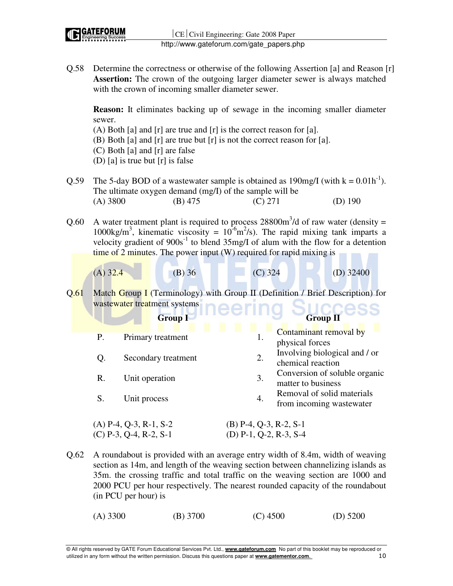Q.58 Determine the correctness or otherwise of the following Assertion [a] and Reason [r] **Assertion:** The crown of the outgoing larger diameter sewer is always matched with the crown of incoming smaller diameter sewer.

**Reason:** It eliminates backing up of sewage in the incoming smaller diameter sewer.

- (A) Both [a] and [r] are true and [r] is the correct reason for [a].
- (B) Both [a] and [r] are true but [r] is not the correct reason for [a].
- (C) Both [a] and [r] are false
- (D) [a] is true but [r] is false
- Q.59 The 5-day BOD of a wastewater sample is obtained as  $190 \text{mg/}I$  (with  $k = 0.01 \text{h}^{-1}$ ). The ultimate oxygen demand (mg/I) of the sample will be (A) 3800 (B) 475 (C) 271 (D) 190
- Q.60 A water treatment plant is required to process  $28800 \text{m}^3/\text{d}$  of raw water (density = 1000kg/m<sup>3</sup>, kinematic viscosity =  $10^{-6}$ m<sup>2</sup>/s). The rapid mixing tank imparts a velocity gradient of  $900s^{-1}$  to blend  $35mg/I$  of alum with the flow for a detention time of 2 minutes. The power input (W) required for rapid mixing is
	- $(A)$  32.4 (B) 36 (C) 324 (D) 32400
- Q.61 Match Group I (Terminology) with Group II (Definition / Brief Description) for wastewater treatment systems

|    | <b>Group I</b>           | <b>Group II</b>                                              |
|----|--------------------------|--------------------------------------------------------------|
| Ρ. | Primary treatment        | Contaminant removal by<br>1.<br>physical forces              |
|    | Secondary treatment      | Involving biological and / or<br>2.<br>chemical reaction     |
| R. | Unit operation           | Conversion of soluble organic<br>3.<br>matter to business    |
| S. | Unit process             | Removal of solid materials<br>4.<br>from incoming wastewater |
|    | $(A)$ P-4, Q-3, R-1, S-2 | (B) P-4, Q-3, R-2, S-1                                       |

Q.62 A roundabout is provided with an average entry width of 8.4m, width of weaving section as 14m, and length of the weaving section between channelizing islands as 35m. the crossing traffic and total traffic on the weaving section are 1000 and 2000 PCU per hour respectively. The nearest rounded capacity of the roundabout (in PCU per hour) is

 $(C)$  P-3, Q-4, R-2, S-1 (D) P-1, Q-2, R-3, S-4

(A) 3300 (B) 3700 (C) 4500 (D) 5200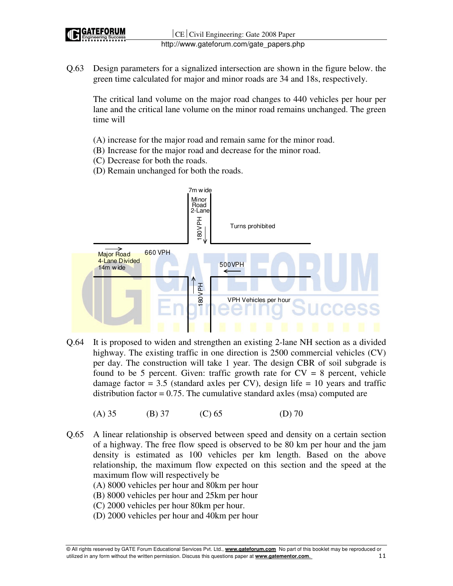

Q.63 Design parameters for a signalized intersection are shown in the figure below. the green time calculated for major and minor roads are 34 and 18s, respectively.

The critical land volume on the major road changes to 440 vehicles per hour per lane and the critical lane volume on the minor road remains unchanged. The green time will

- (A) increase for the major road and remain same for the minor road.
- (B) Increase for the major road and decrease for the minor road.
- (C) Decrease for both the roads.
- (D) Remain unchanged for both the roads.



- Q.64 It is proposed to widen and strengthen an existing 2-lane NH section as a divided highway. The existing traffic in one direction is 2500 commercial vehicles (CV) per day. The construction will take 1 year. The design CBR of soil subgrade is found to be 5 percent. Given: traffic growth rate for  $CV = 8$  percent, vehicle damage factor  $= 3.5$  (standard axles per CV), design life  $= 10$  years and traffic distribution factor =  $0.75$ . The cumulative standard axles (msa) computed are
	- (A) 35 (B) 37 (C) 65 (D) 70
- Q.65 A linear relationship is observed between speed and density on a certain section of a highway. The free flow speed is observed to be 80 km per hour and the jam density is estimated as 100 vehicles per km length. Based on the above relationship, the maximum flow expected on this section and the speed at the maximum flow will respectively be

(A) 8000 vehicles per hour and 80km per hour

- (B) 8000 vehicles per hour and 25km per hour
- (C) 2000 vehicles per hour 80km per hour.
- (D) 2000 vehicles per hour and 40km per hour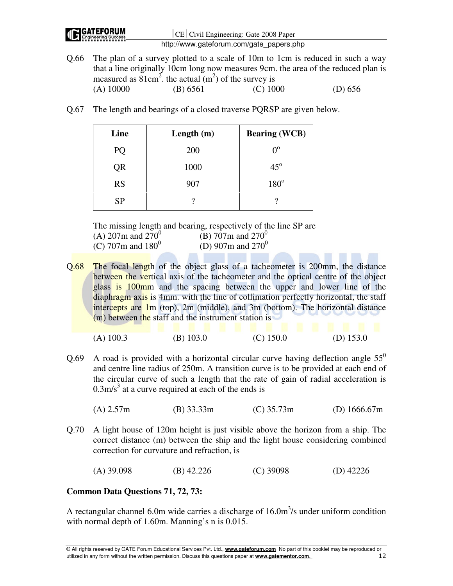| <b>IC GATEFORUM</b> | CE Civil Engineering: Gate 2008 Paper                                                                                                                                                                                                                     |
|---------------------|-----------------------------------------------------------------------------------------------------------------------------------------------------------------------------------------------------------------------------------------------------------|
|                     | http://www.gateforum.com/gate_papers.php                                                                                                                                                                                                                  |
|                     | Q.66 The plan of a survey plotted to a scale of 10m to 1cm is reduced in such a way<br>that a line originally 10cm long now measures 9cm, the area of the reduced plan is<br>measured as $81 \text{cm}^2$ , the actual (m <sup>2</sup> ) of the survey is |

|             | $\frac{1}{2}$ and $\frac{1}{2}$ and $\frac{1}{2}$ and $\frac{1}{2}$ are $\frac{1}{2}$ and $\frac{1}{2}$ and $\frac{1}{2}$ and $\frac{1}{2}$ and $\frac{1}{2}$ and $\frac{1}{2}$ and $\frac{1}{2}$ and $\frac{1}{2}$ and $\frac{1}{2}$ and $\frac{1}{2}$ and $\frac{1}{2}$ and $\frac{1}{2}$ a |            |           |
|-------------|-----------------------------------------------------------------------------------------------------------------------------------------------------------------------------------------------------------------------------------------------------------------------------------------------|------------|-----------|
| $(A)$ 10000 | (B) 6561                                                                                                                                                                                                                                                                                      | $(C)$ 1000 | (D) $656$ |

Q.67 The length and bearings of a closed traverse PQRSP are given below.

| Line      | Length $(m)$ | <b>Bearing (WCB)</b> |
|-----------|--------------|----------------------|
| PQ        | <b>200</b>   | $\Omega^{\rm o}$     |
| QR        | 1000         | $45^\circ$           |
| <b>RS</b> | 907          | $180^\circ$          |
| <b>SP</b> | າ            | റ                    |

The missing length and bearing, respectively of the line SP are (A) 207m and  $270^0$ (B) 707m and  $270^0$ (C) 707m and  $180^0$ (D) 907m and  $270^0$ 

Q.68 The focal length of the object glass of a tacheometer is 200mm, the distance between the vertical axis of the tacheometer and the optical centre of the object glass is 100mm and the spacing between the upper and lower line of the diaphragm axis is 4mm. with the line of collimation perfectly horizontal, the staff intercepts are  $1m$  (top),  $2m$  (middle), and  $3m$  (bottom). The horizontal distance (m) between the staff and the instrument station is

| $(A)$ 100.3 | $(B)$ 103.0 | $(C)$ 150.0 | (D) $153.0$ |
|-------------|-------------|-------------|-------------|

- Q.69 A road is provided with a horizontal circular curve having deflection angle  $55^{\circ}$ and centre line radius of 250m. A transition curve is to be provided at each end of the circular curve of such a length that the rate of gain of radial acceleration is  $0.3$ m/s<sup>3</sup> at a curve required at each of the ends is
	- (A) 2.57m (B) 33.33m (C) 35.73m (D) 1666.67m
- Q.70 A light house of 120m height is just visible above the horizon from a ship. The correct distance (m) between the ship and the light house considering combined correction for curvature and refraction, is

(A) 39.098 (B) 42.226 (C) 39098 (D) 42226

# **Common Data Questions 71, 72, 73:**

A rectangular channel 6.0m wide carries a discharge of  $16.0 \text{m}^3/\text{s}$  under uniform condition with normal depth of 1.60m. Manning's n is 0.015.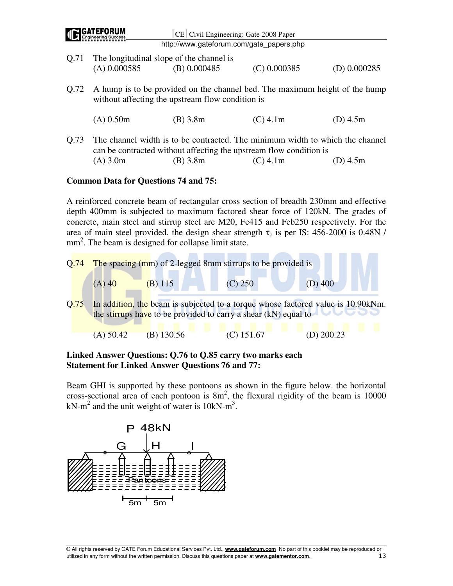|      | <b>GATEFORUM</b> | $ CE $ Civil Engineering: Gate 2008 Paper                                                                                                           |                |                |
|------|------------------|-----------------------------------------------------------------------------------------------------------------------------------------------------|----------------|----------------|
|      |                  | http://www.gateforum.com/gate papers.php                                                                                                            |                |                |
| Q.71 |                  | The longitudinal slope of the channel is                                                                                                            |                |                |
|      | $(A)$ 0.000585   | (B) 0.000485                                                                                                                                        | $(C)$ 0.000385 | $(D)$ 0.000285 |
| Q.72 |                  | A hump is to be provided on the channel bed. The maximum height of the hump<br>without affecting the upstream flow condition is                     |                |                |
|      | $(A)$ 0.50m      | $(B)$ 3.8m                                                                                                                                          | $(C)$ 4.1m     | (D) $4.5m$     |
| Q.73 |                  | The channel width is to be contracted. The minimum width to which the channel<br>can be contracted without affecting the upstream flow condition is |                |                |
|      | $(A)$ 3.0m       | $(B)$ 3.8m                                                                                                                                          | $(C)$ 4.1m     | $(D)$ 4.5m     |

#### **Common Data for Questions 74 and 75:**

A reinforced concrete beam of rectangular cross section of breadth 230mm and effective depth 400mm is subjected to maximum factored shear force of 120kN. The grades of concrete, main steel and stirrup steel are M20, Fe415 and Feb250 respectively. For the area of main steel provided, the design shear strength  $\tau_c$  is per IS: 456-2000 is 0.48N / mm<sup>2</sup>. The beam is designed for collapse limit state.



# **Linked Answer Questions: Q.76 to Q.85 carry two marks each Statement for Linked Answer Questions 76 and 77:**

Beam GHI is supported by these pontoons as shown in the figure below. the horizontal cross-sectional area of each pontoon is  $8m^2$ , the flexural rigidity of the beam is 10000 kN-m<sup>2</sup> and the unit weight of water is  $10kN-m^3$ .

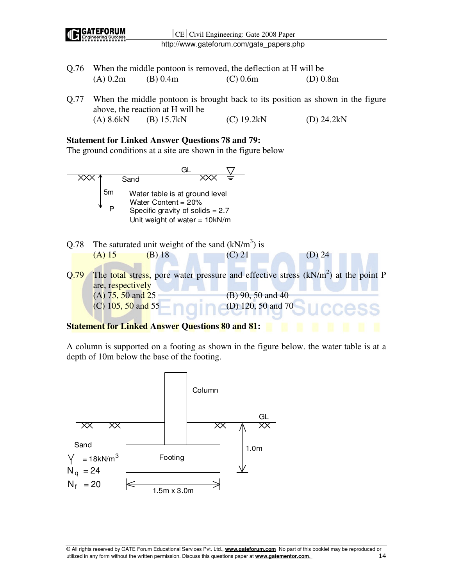

- Q.76 When the middle pontoon is removed, the deflection at H will be (A) 0.2m (B) 0.4m (C) 0.6m (D) 0.8m
- Q.77 When the middle pontoon is brought back to its position as shown in the figure above, the reaction at H will be (A) 8.6kN (B) 15.7kN (C) 19.2kN (D) 24.2kN

#### **Statement for Linked Answer Questions 78 and 79:**

The ground conditions at a site are shown in the figure below



A column is supported on a footing as shown in the figure below. the water table is at a depth of 10m below the base of the footing.